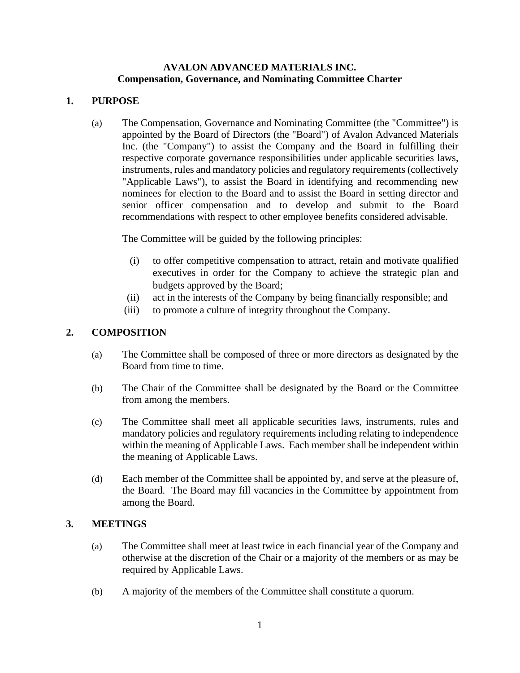### **AVALON ADVANCED MATERIALS INC. Compensation, Governance, and Nominating Committee Charter**

## **1. PURPOSE**

(a) The Compensation, Governance and Nominating Committee (the "Committee") is appointed by the Board of Directors (the "Board") of Avalon Advanced Materials Inc. (the "Company") to assist the Company and the Board in fulfilling their respective corporate governance responsibilities under applicable securities laws, instruments, rules and mandatory policies and regulatory requirements (collectively "Applicable Laws"), to assist the Board in identifying and recommending new nominees for election to the Board and to assist the Board in setting director and senior officer compensation and to develop and submit to the Board recommendations with respect to other employee benefits considered advisable.

The Committee will be guided by the following principles:

- (i) to offer competitive compensation to attract, retain and motivate qualified executives in order for the Company to achieve the strategic plan and budgets approved by the Board;
- (ii) act in the interests of the Company by being financially responsible; and
- (iii) to promote a culture of integrity throughout the Company.

# **2. COMPOSITION**

- (a) The Committee shall be composed of three or more directors as designated by the Board from time to time.
- (b) The Chair of the Committee shall be designated by the Board or the Committee from among the members.
- (c) The Committee shall meet all applicable securities laws, instruments, rules and mandatory policies and regulatory requirements including relating to independence within the meaning of Applicable Laws. Each member shall be independent within the meaning of Applicable Laws.
- (d) Each member of the Committee shall be appointed by, and serve at the pleasure of, the Board. The Board may fill vacancies in the Committee by appointment from among the Board.

### **3. MEETINGS**

- (a) The Committee shall meet at least twice in each financial year of the Company and otherwise at the discretion of the Chair or a majority of the members or as may be required by Applicable Laws.
- (b) A majority of the members of the Committee shall constitute a quorum.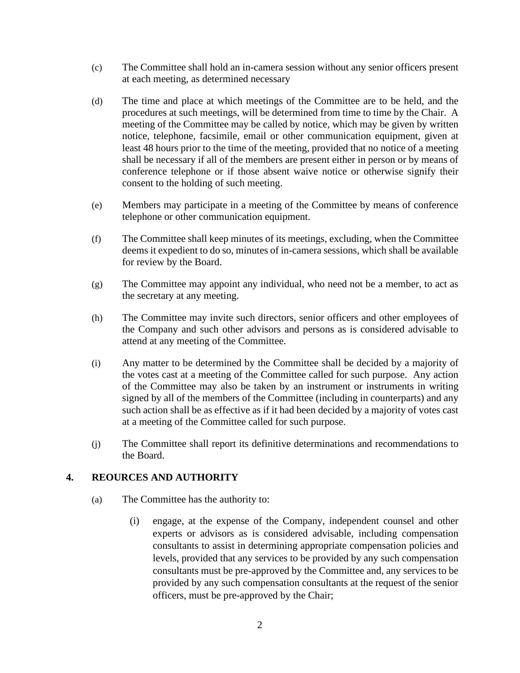- (c) The Committee shall hold an in-camera session without any senior officers present at each meeting, as determined necessary
- (d) The time and place at which meetings of the Committee are to be held, and the procedures at such meetings, will be determined from time to time by the Chair. A meeting of the Committee may be called by notice, which may be given by written notice, telephone, facsimile, email or other communication equipment, given at least 48 hours prior to the time of the meeting, provided that no notice of a meeting shall be necessary if all of the members are present either in person or by means of conference telephone or if those absent waive notice or otherwise signify their consent to the holding of such meeting.
- (e) Members may participate in a meeting of the Committee by means of conference telephone or other communication equipment.
- (f) The Committee shall keep minutes of its meetings, excluding, when the Committee deems it expedient to do so, minutes of in-camera sessions, which shall be available for review by the Board.
- (g) The Committee may appoint any individual, who need not be a member, to act as the secretary at any meeting.
- (h) The Committee may invite such directors, senior officers and other employees of the Company and such other advisors and persons as is considered advisable to attend at any meeting of the Committee.
- (i) Any matter to be determined by the Committee shall be decided by a majority of the votes cast at a meeting of the Committee called for such purpose. Any action of the Committee may also be taken by an instrument or instruments in writing signed by all of the members of the Committee (including in counterparts) and any such action shall be as effective as if it had been decided by a majority of votes cast at a meeting of the Committee called for such purpose.
- (j) The Committee shall report its definitive determinations and recommendations to the Board.

### **4. REOURCES AND AUTHORITY**

- (a) The Committee has the authority to:
	- (i) engage, at the expense of the Company, independent counsel and other experts or advisors as is considered advisable, including compensation consultants to assist in determining appropriate compensation policies and levels, provided that any services to be provided by any such compensation consultants must be pre-approved by the Committee and, any services to be provided by any such compensation consultants at the request of the senior officers, must be pre-approved by the Chair;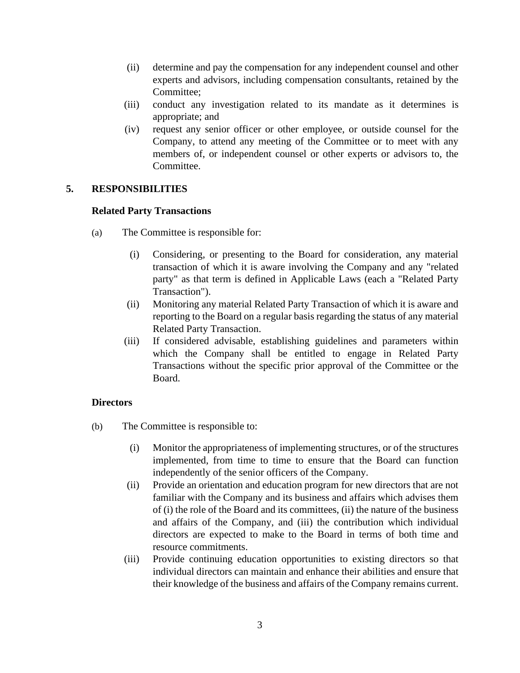- (ii) determine and pay the compensation for any independent counsel and other experts and advisors, including compensation consultants, retained by the Committee;
- (iii) conduct any investigation related to its mandate as it determines is appropriate; and
- (iv) request any senior officer or other employee, or outside counsel for the Company, to attend any meeting of the Committee or to meet with any members of, or independent counsel or other experts or advisors to, the Committee.

# **5. RESPONSIBILITIES**

## **Related Party Transactions**

- (a) The Committee is responsible for:
	- (i) Considering, or presenting to the Board for consideration, any material transaction of which it is aware involving the Company and any "related party" as that term is defined in Applicable Laws (each a "Related Party Transaction").
	- (ii) Monitoring any material Related Party Transaction of which it is aware and reporting to the Board on a regular basis regarding the status of any material Related Party Transaction.
	- (iii) If considered advisable, establishing guidelines and parameters within which the Company shall be entitled to engage in Related Party Transactions without the specific prior approval of the Committee or the Board.

# **Directors**

- (b) The Committee is responsible to:
	- (i) Monitor the appropriateness of implementing structures, or of the structures implemented, from time to time to ensure that the Board can function independently of the senior officers of the Company.
	- (ii) Provide an orientation and education program for new directors that are not familiar with the Company and its business and affairs which advises them of (i) the role of the Board and its committees, (ii) the nature of the business and affairs of the Company, and (iii) the contribution which individual directors are expected to make to the Board in terms of both time and resource commitments.
	- (iii) Provide continuing education opportunities to existing directors so that individual directors can maintain and enhance their abilities and ensure that their knowledge of the business and affairs of the Company remains current.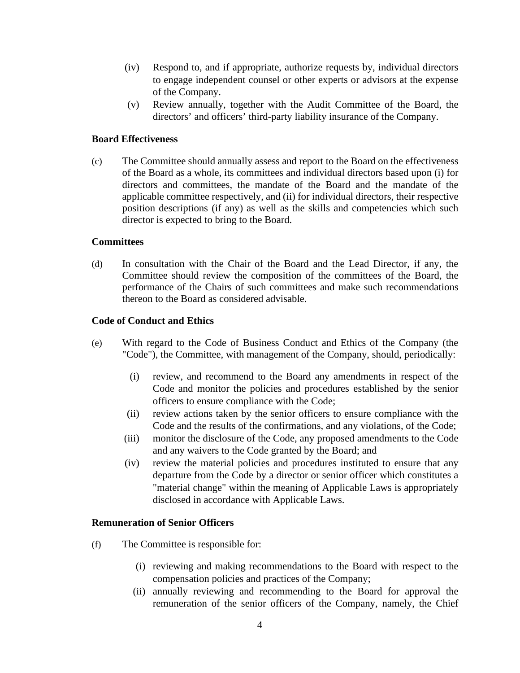- (iv) Respond to, and if appropriate, authorize requests by, individual directors to engage independent counsel or other experts or advisors at the expense of the Company.
- (v) Review annually, together with the Audit Committee of the Board, the directors' and officers' third-party liability insurance of the Company.

### **Board Effectiveness**

(c) The Committee should annually assess and report to the Board on the effectiveness of the Board as a whole, its committees and individual directors based upon (i) for directors and committees, the mandate of the Board and the mandate of the applicable committee respectively, and (ii) for individual directors, their respective position descriptions (if any) as well as the skills and competencies which such director is expected to bring to the Board.

#### **Committees**

(d) In consultation with the Chair of the Board and the Lead Director, if any, the Committee should review the composition of the committees of the Board, the performance of the Chairs of such committees and make such recommendations thereon to the Board as considered advisable.

### **Code of Conduct and Ethics**

- (e) With regard to the Code of Business Conduct and Ethics of the Company (the "Code"), the Committee, with management of the Company, should, periodically:
	- (i) review, and recommend to the Board any amendments in respect of the Code and monitor the policies and procedures established by the senior officers to ensure compliance with the Code;
	- (ii) review actions taken by the senior officers to ensure compliance with the Code and the results of the confirmations, and any violations, of the Code;
	- (iii) monitor the disclosure of the Code, any proposed amendments to the Code and any waivers to the Code granted by the Board; and
	- (iv) review the material policies and procedures instituted to ensure that any departure from the Code by a director or senior officer which constitutes a "material change" within the meaning of Applicable Laws is appropriately disclosed in accordance with Applicable Laws.

#### **Remuneration of Senior Officers**

- (f) The Committee is responsible for:
	- (i) reviewing and making recommendations to the Board with respect to the compensation policies and practices of the Company;
	- (ii) annually reviewing and recommending to the Board for approval the remuneration of the senior officers of the Company, namely, the Chief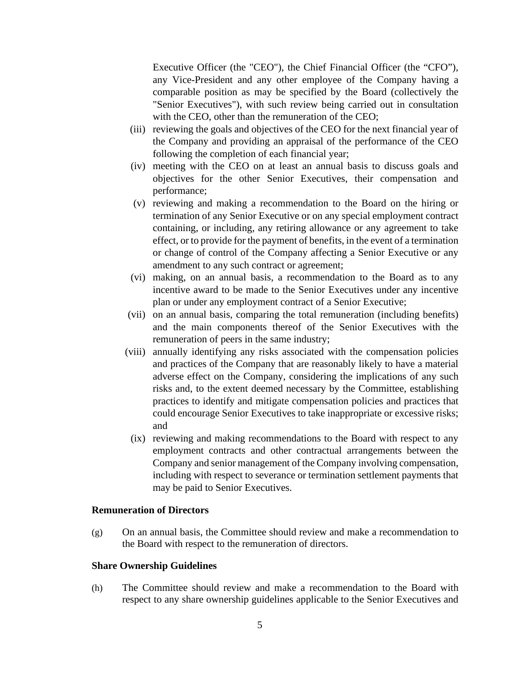Executive Officer (the "CEO"), the Chief Financial Officer (the "CFO"), any Vice-President and any other employee of the Company having a comparable position as may be specified by the Board (collectively the "Senior Executives"), with such review being carried out in consultation with the CEO, other than the remuneration of the CEO;

- (iii) reviewing the goals and objectives of the CEO for the next financial year of the Company and providing an appraisal of the performance of the CEO following the completion of each financial year;
- (iv) meeting with the CEO on at least an annual basis to discuss goals and objectives for the other Senior Executives, their compensation and performance;
- (v) reviewing and making a recommendation to the Board on the hiring or termination of any Senior Executive or on any special employment contract containing, or including, any retiring allowance or any agreement to take effect, or to provide for the payment of benefits, in the event of a termination or change of control of the Company affecting a Senior Executive or any amendment to any such contract or agreement;
- (vi) making, on an annual basis, a recommendation to the Board as to any incentive award to be made to the Senior Executives under any incentive plan or under any employment contract of a Senior Executive;
- (vii) on an annual basis, comparing the total remuneration (including benefits) and the main components thereof of the Senior Executives with the remuneration of peers in the same industry;
- (viii) annually identifying any risks associated with the compensation policies and practices of the Company that are reasonably likely to have a material adverse effect on the Company, considering the implications of any such risks and, to the extent deemed necessary by the Committee, establishing practices to identify and mitigate compensation policies and practices that could encourage Senior Executives to take inappropriate or excessive risks; and
- (ix) reviewing and making recommendations to the Board with respect to any employment contracts and other contractual arrangements between the Company and senior management of the Company involving compensation, including with respect to severance or termination settlement payments that may be paid to Senior Executives.

### **Remuneration of Directors**

(g) On an annual basis, the Committee should review and make a recommendation to the Board with respect to the remuneration of directors.

#### **Share Ownership Guidelines**

(h) The Committee should review and make a recommendation to the Board with respect to any share ownership guidelines applicable to the Senior Executives and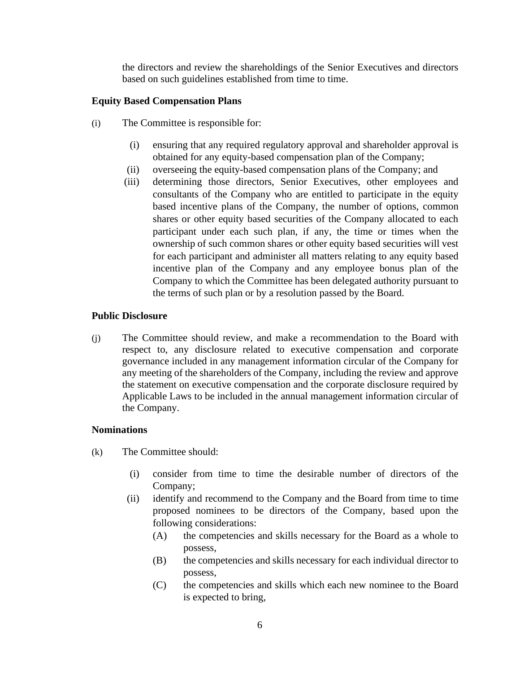the directors and review the shareholdings of the Senior Executives and directors based on such guidelines established from time to time.

## **Equity Based Compensation Plans**

- (i) The Committee is responsible for:
	- (i) ensuring that any required regulatory approval and shareholder approval is obtained for any equity-based compensation plan of the Company;
	- (ii) overseeing the equity-based compensation plans of the Company; and
	- (iii) determining those directors, Senior Executives, other employees and consultants of the Company who are entitled to participate in the equity based incentive plans of the Company, the number of options, common shares or other equity based securities of the Company allocated to each participant under each such plan, if any, the time or times when the ownership of such common shares or other equity based securities will vest for each participant and administer all matters relating to any equity based incentive plan of the Company and any employee bonus plan of the Company to which the Committee has been delegated authority pursuant to the terms of such plan or by a resolution passed by the Board.

### **Public Disclosure**

(j) The Committee should review, and make a recommendation to the Board with respect to, any disclosure related to executive compensation and corporate governance included in any management information circular of the Company for any meeting of the shareholders of the Company, including the review and approve the statement on executive compensation and the corporate disclosure required by Applicable Laws to be included in the annual management information circular of the Company.

### **Nominations**

- (k) The Committee should:
	- (i) consider from time to time the desirable number of directors of the Company;
	- (ii) identify and recommend to the Company and the Board from time to time proposed nominees to be directors of the Company, based upon the following considerations:
		- (A) the competencies and skills necessary for the Board as a whole to possess,
		- (B) the competencies and skills necessary for each individual director to possess,
		- (C) the competencies and skills which each new nominee to the Board is expected to bring,